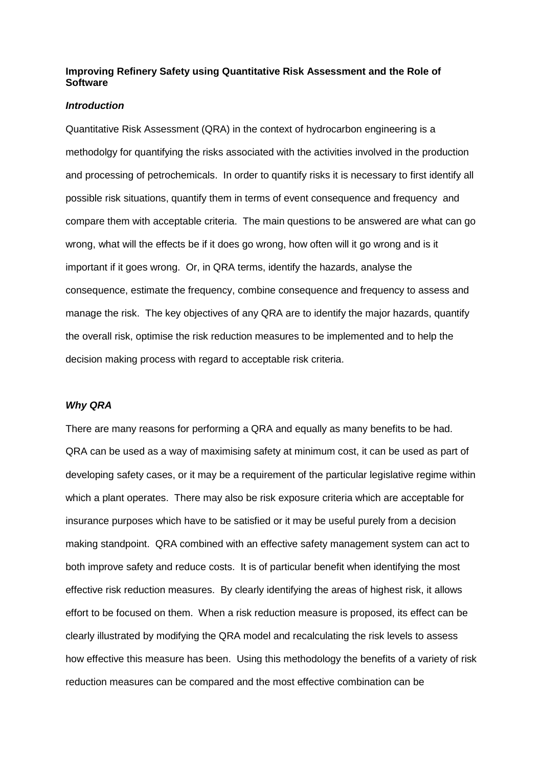# **Improving Refinery Safety using Quantitative Risk Assessment and the Role of Software**

## **Introduction**

Quantitative Risk Assessment (QRA) in the context of hydrocarbon engineering is a methodolgy for quantifying the risks associated with the activities involved in the production and processing of petrochemicals. In order to quantify risks it is necessary to first identify all possible risk situations, quantify them in terms of event consequence and frequency and compare them with acceptable criteria. The main questions to be answered are what can go wrong, what will the effects be if it does go wrong, how often will it go wrong and is it important if it goes wrong. Or, in QRA terms, identify the hazards, analyse the consequence, estimate the frequency, combine consequence and frequency to assess and manage the risk. The key objectives of any QRA are to identify the major hazards, quantify the overall risk, optimise the risk reduction measures to be implemented and to help the decision making process with regard to acceptable risk criteria.

# **Why QRA**

There are many reasons for performing a QRA and equally as many benefits to be had. QRA can be used as a way of maximising safety at minimum cost, it can be used as part of developing safety cases, or it may be a requirement of the particular legislative regime within which a plant operates. There may also be risk exposure criteria which are acceptable for insurance purposes which have to be satisfied or it may be useful purely from a decision making standpoint. QRA combined with an effective safety management system can act to both improve safety and reduce costs. It is of particular benefit when identifying the most effective risk reduction measures. By clearly identifying the areas of highest risk, it allows effort to be focused on them. When a risk reduction measure is proposed, its effect can be clearly illustrated by modifying the QRA model and recalculating the risk levels to assess how effective this measure has been. Using this methodology the benefits of a variety of risk reduction measures can be compared and the most effective combination can be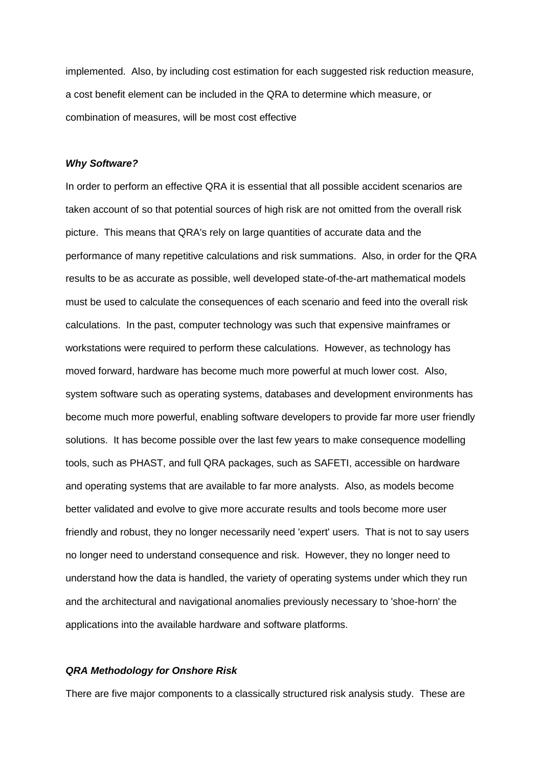implemented. Also, by including cost estimation for each suggested risk reduction measure, a cost benefit element can be included in the QRA to determine which measure, or combination of measures, will be most cost effective

#### **Why Software?**

In order to perform an effective QRA it is essential that all possible accident scenarios are taken account of so that potential sources of high risk are not omitted from the overall risk picture. This means that QRA's rely on large quantities of accurate data and the performance of many repetitive calculations and risk summations. Also, in order for the QRA results to be as accurate as possible, well developed state-of-the-art mathematical models must be used to calculate the consequences of each scenario and feed into the overall risk calculations. In the past, computer technology was such that expensive mainframes or workstations were required to perform these calculations. However, as technology has moved forward, hardware has become much more powerful at much lower cost. Also, system software such as operating systems, databases and development environments has become much more powerful, enabling software developers to provide far more user friendly solutions. It has become possible over the last few years to make consequence modelling tools, such as PHAST, and full QRA packages, such as SAFETI, accessible on hardware and operating systems that are available to far more analysts. Also, as models become better validated and evolve to give more accurate results and tools become more user friendly and robust, they no longer necessarily need 'expert' users. That is not to say users no longer need to understand consequence and risk. However, they no longer need to understand how the data is handled, the variety of operating systems under which they run and the architectural and navigational anomalies previously necessary to 'shoe-horn' the applications into the available hardware and software platforms.

#### **QRA Methodology for Onshore Risk**

There are five major components to a classically structured risk analysis study. These are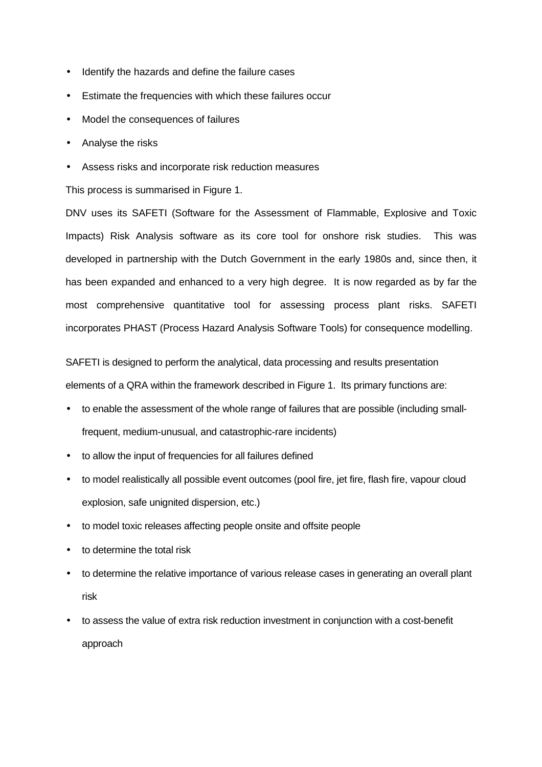- Identify the hazards and define the failure cases
- Estimate the frequencies with which these failures occur
- Model the consequences of failures
- Analyse the risks
- Assess risks and incorporate risk reduction measures

This process is summarised in Figure 1.

DNV uses its SAFETI (Software for the Assessment of Flammable, Explosive and Toxic Impacts) Risk Analysis software as its core tool for onshore risk studies. This was developed in partnership with the Dutch Government in the early 1980s and, since then, it has been expanded and enhanced to a very high degree. It is now regarded as by far the most comprehensive quantitative tool for assessing process plant risks. SAFETI incorporates PHAST (Process Hazard Analysis Software Tools) for consequence modelling.

 SAFETI is designed to perform the analytical, data processing and results presentation elements of a QRA within the framework described in Figure 1. Its primary functions are:

- to enable the assessment of the whole range of failures that are possible (including smallfrequent, medium-unusual, and catastrophic-rare incidents)
- to allow the input of frequencies for all failures defined
- to model realistically all possible event outcomes (pool fire, jet fire, flash fire, vapour cloud explosion, safe unignited dispersion, etc.)
- to model toxic releases affecting people onsite and offsite people
- to determine the total risk
- to determine the relative importance of various release cases in generating an overall plant risk
- to assess the value of extra risk reduction investment in conjunction with a cost-benefit approach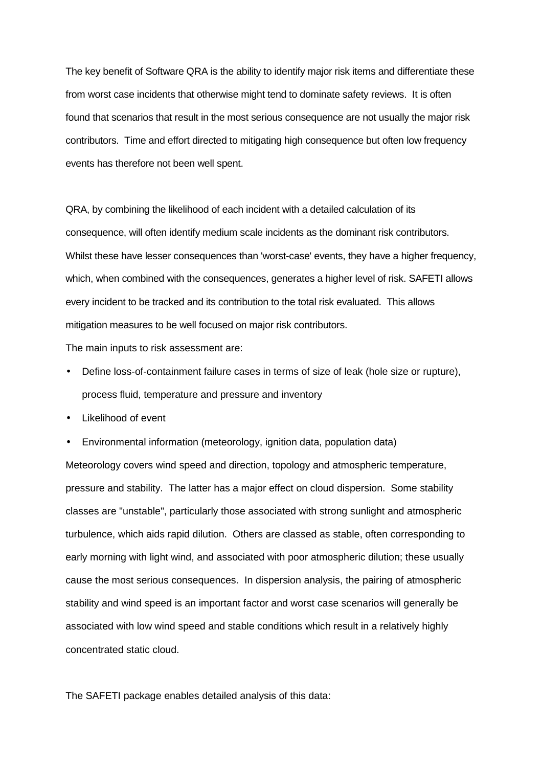The key benefit of Software QRA is the ability to identify major risk items and differentiate these from worst case incidents that otherwise might tend to dominate safety reviews. It is often found that scenarios that result in the most serious consequence are not usually the major risk contributors. Time and effort directed to mitigating high consequence but often low frequency events has therefore not been well spent.

 QRA, by combining the likelihood of each incident with a detailed calculation of its consequence, will often identify medium scale incidents as the dominant risk contributors. Whilst these have lesser consequences than 'worst-case' events, they have a higher frequency, which, when combined with the consequences, generates a higher level of risk. SAFETI allows every incident to be tracked and its contribution to the total risk evaluated. This allows mitigation measures to be well focused on major risk contributors.

The main inputs to risk assessment are:

- Define loss-of-containment failure cases in terms of size of leak (hole size or rupture), process fluid, temperature and pressure and inventory
- Likelihood of event
- Environmental information (meteorology, ignition data, population data)

Meteorology covers wind speed and direction, topology and atmospheric temperature, pressure and stability. The latter has a major effect on cloud dispersion. Some stability classes are "unstable", particularly those associated with strong sunlight and atmospheric turbulence, which aids rapid dilution. Others are classed as stable, often corresponding to early morning with light wind, and associated with poor atmospheric dilution; these usually cause the most serious consequences. In dispersion analysis, the pairing of atmospheric stability and wind speed is an important factor and worst case scenarios will generally be associated with low wind speed and stable conditions which result in a relatively highly concentrated static cloud.

The SAFETI package enables detailed analysis of this data: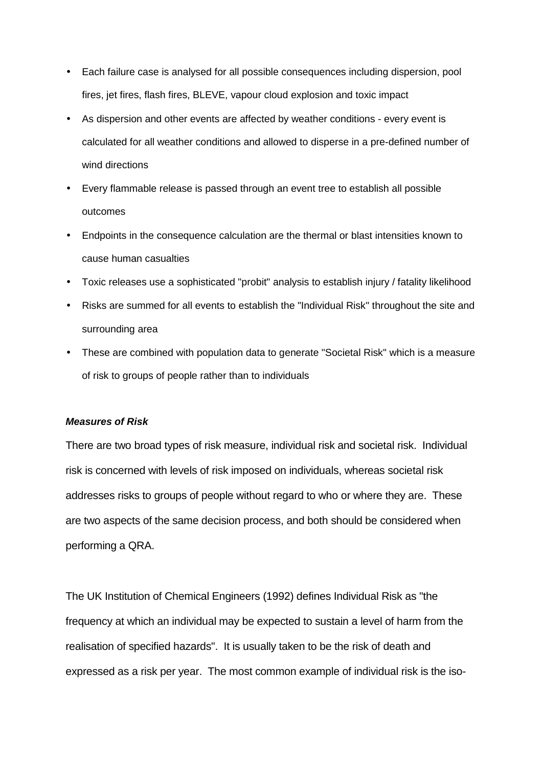- Each failure case is analysed for all possible consequences including dispersion, pool fires, jet fires, flash fires, BLEVE, vapour cloud explosion and toxic impact
- As dispersion and other events are affected by weather conditions every event is calculated for all weather conditions and allowed to disperse in a pre-defined number of wind directions
- Every flammable release is passed through an event tree to establish all possible outcomes
- Endpoints in the consequence calculation are the thermal or blast intensities known to cause human casualties
- Toxic releases use a sophisticated "probit" analysis to establish injury / fatality likelihood
- Risks are summed for all events to establish the "Individual Risk" throughout the site and surrounding area
- These are combined with population data to generate "Societal Risk" which is a measure of risk to groups of people rather than to individuals

### **Measures of Risk**

There are two broad types of risk measure, individual risk and societal risk. Individual risk is concerned with levels of risk imposed on individuals, whereas societal risk addresses risks to groups of people without regard to who or where they are. These are two aspects of the same decision process, and both should be considered when performing a QRA.

The UK Institution of Chemical Engineers (1992) defines Individual Risk as "the frequency at which an individual may be expected to sustain a level of harm from the realisation of specified hazards". It is usually taken to be the risk of death and expressed as a risk per year. The most common example of individual risk is the iso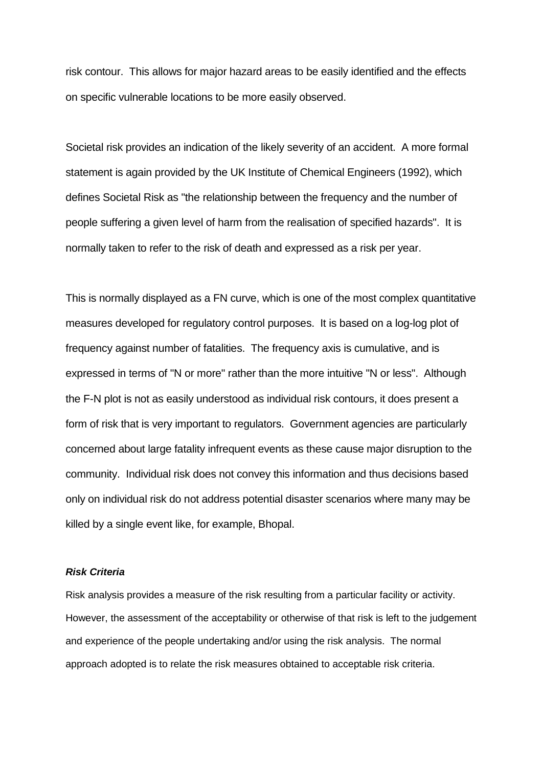risk contour. This allows for major hazard areas to be easily identified and the effects on specific vulnerable locations to be more easily observed.

Societal risk provides an indication of the likely severity of an accident. A more formal statement is again provided by the UK Institute of Chemical Engineers (1992), which defines Societal Risk as "the relationship between the frequency and the number of people suffering a given level of harm from the realisation of specified hazards". It is normally taken to refer to the risk of death and expressed as a risk per year.

This is normally displayed as a FN curve, which is one of the most complex quantitative measures developed for regulatory control purposes. It is based on a log-log plot of frequency against number of fatalities. The frequency axis is cumulative, and is expressed in terms of "N or more" rather than the more intuitive "N or less". Although the F-N plot is not as easily understood as individual risk contours, it does present a form of risk that is very important to regulators. Government agencies are particularly concerned about large fatality infrequent events as these cause major disruption to the community. Individual risk does not convey this information and thus decisions based only on individual risk do not address potential disaster scenarios where many may be killed by a single event like, for example, Bhopal.

# **Risk Criteria**

Risk analysis provides a measure of the risk resulting from a particular facility or activity. However, the assessment of the acceptability or otherwise of that risk is left to the judgement and experience of the people undertaking and/or using the risk analysis. The normal approach adopted is to relate the risk measures obtained to acceptable risk criteria.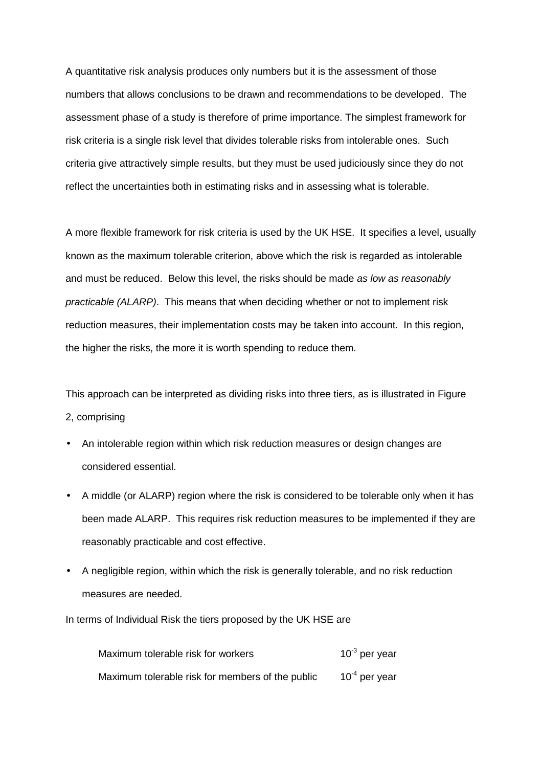A quantitative risk analysis produces only numbers but it is the assessment of those numbers that allows conclusions to be drawn and recommendations to be developed. The assessment phase of a study is therefore of prime importance. The simplest framework for risk criteria is a single risk level that divides tolerable risks from intolerable ones. Such criteria give attractively simple results, but they must be used judiciously since they do not reflect the uncertainties both in estimating risks and in assessing what is tolerable.

A more flexible framework for risk criteria is used by the UK HSE. It specifies a level, usually known as the maximum tolerable criterion, above which the risk is regarded as intolerable and must be reduced. Below this level, the risks should be made as low as reasonably practicable (ALARP). This means that when deciding whether or not to implement risk reduction measures, their implementation costs may be taken into account. In this region, the higher the risks, the more it is worth spending to reduce them.

This approach can be interpreted as dividing risks into three tiers, as is illustrated in Figure 2, comprising

- An intolerable region within which risk reduction measures or design changes are considered essential.
- A middle (or ALARP) region where the risk is considered to be tolerable only when it has been made ALARP. This requires risk reduction measures to be implemented if they are reasonably practicable and cost effective.
- A negligible region, within which the risk is generally tolerable, and no risk reduction measures are needed.

In terms of Individual Risk the tiers proposed by the UK HSE are

| Maximum tolerable risk for workers               | $10^{-3}$ per year |
|--------------------------------------------------|--------------------|
| Maximum tolerable risk for members of the public | $10^{-4}$ per year |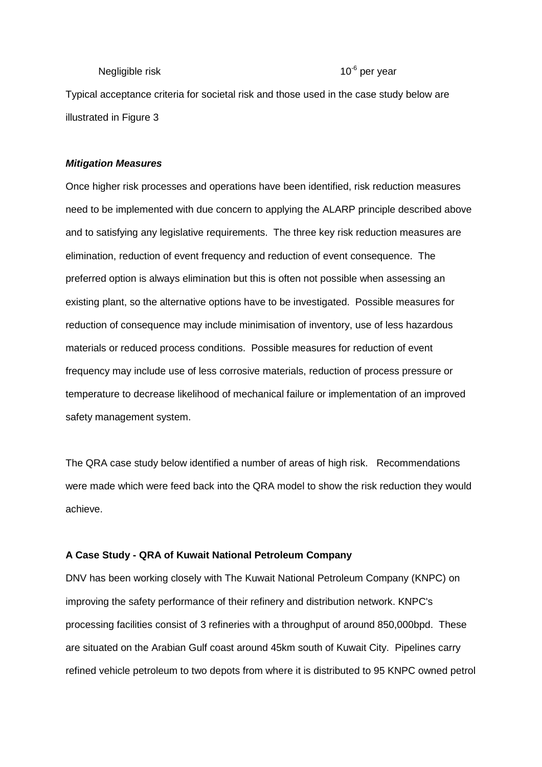# Negligible risk  $10^{-6}$  per year

Typical acceptance criteria for societal risk and those used in the case study below are illustrated in Figure 3

### **Mitigation Measures**

Once higher risk processes and operations have been identified, risk reduction measures need to be implemented with due concern to applying the ALARP principle described above and to satisfying any legislative requirements. The three key risk reduction measures are elimination, reduction of event frequency and reduction of event consequence. The preferred option is always elimination but this is often not possible when assessing an existing plant, so the alternative options have to be investigated. Possible measures for reduction of consequence may include minimisation of inventory, use of less hazardous materials or reduced process conditions. Possible measures for reduction of event frequency may include use of less corrosive materials, reduction of process pressure or temperature to decrease likelihood of mechanical failure or implementation of an improved safety management system.

The QRA case study below identified a number of areas of high risk. Recommendations were made which were feed back into the QRA model to show the risk reduction they would achieve.

### **A Case Study - QRA of Kuwait National Petroleum Company**

DNV has been working closely with The Kuwait National Petroleum Company (KNPC) on improving the safety performance of their refinery and distribution network. KNPC's processing facilities consist of 3 refineries with a throughput of around 850,000bpd. These are situated on the Arabian Gulf coast around 45km south of Kuwait City. Pipelines carry refined vehicle petroleum to two depots from where it is distributed to 95 KNPC owned petrol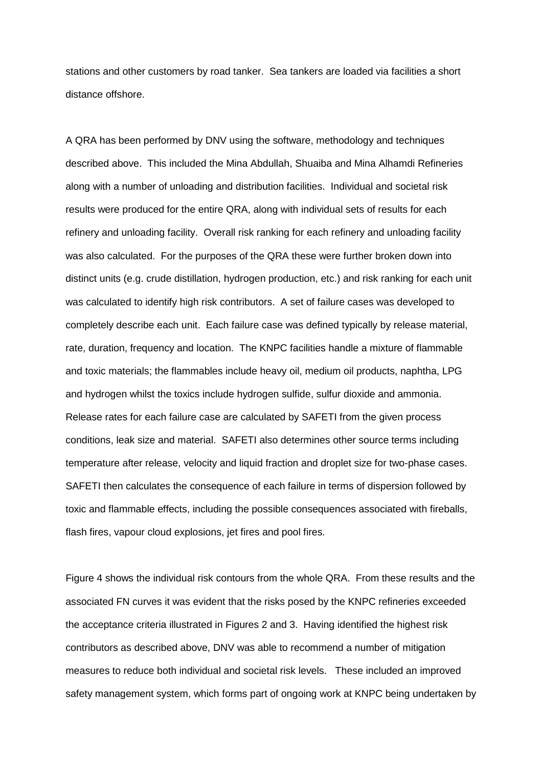stations and other customers by road tanker. Sea tankers are loaded via facilities a short distance offshore.

A QRA has been performed by DNV using the software, methodology and techniques described above. This included the Mina Abdullah, Shuaiba and Mina Alhamdi Refineries along with a number of unloading and distribution facilities. Individual and societal risk results were produced for the entire QRA, along with individual sets of results for each refinery and unloading facility. Overall risk ranking for each refinery and unloading facility was also calculated. For the purposes of the QRA these were further broken down into distinct units (e.g. crude distillation, hydrogen production, etc.) and risk ranking for each unit was calculated to identify high risk contributors. A set of failure cases was developed to completely describe each unit. Each failure case was defined typically by release material, rate, duration, frequency and location. The KNPC facilities handle a mixture of flammable and toxic materials; the flammables include heavy oil, medium oil products, naphtha, LPG and hydrogen whilst the toxics include hydrogen sulfide, sulfur dioxide and ammonia. Release rates for each failure case are calculated by SAFETI from the given process conditions, leak size and material. SAFETI also determines other source terms including temperature after release, velocity and liquid fraction and droplet size for two-phase cases. SAFETI then calculates the consequence of each failure in terms of dispersion followed by toxic and flammable effects, including the possible consequences associated with fireballs, flash fires, vapour cloud explosions, jet fires and pool fires.

Figure 4 shows the individual risk contours from the whole QRA. From these results and the associated FN curves it was evident that the risks posed by the KNPC refineries exceeded the acceptance criteria illustrated in Figures 2 and 3. Having identified the highest risk contributors as described above, DNV was able to recommend a number of mitigation measures to reduce both individual and societal risk levels. These included an improved safety management system, which forms part of ongoing work at KNPC being undertaken by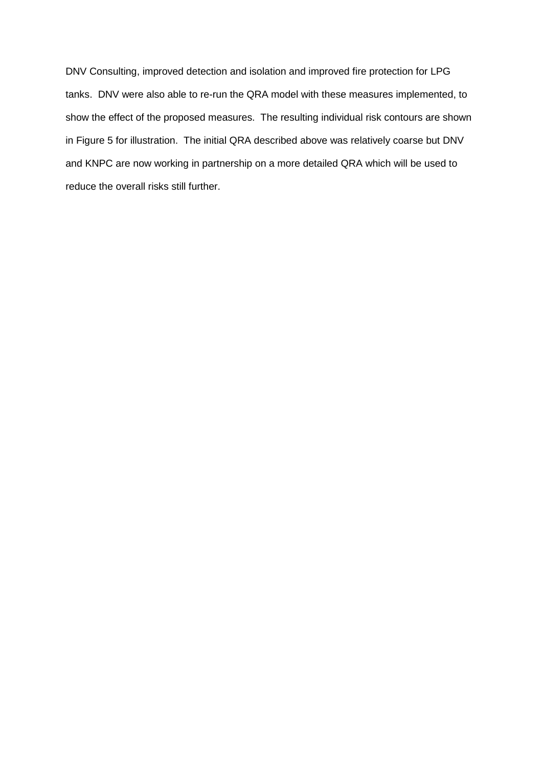DNV Consulting, improved detection and isolation and improved fire protection for LPG tanks. DNV were also able to re-run the QRA model with these measures implemented, to show the effect of the proposed measures. The resulting individual risk contours are shown in Figure 5 for illustration. The initial QRA described above was relatively coarse but DNV and KNPC are now working in partnership on a more detailed QRA which will be used to reduce the overall risks still further.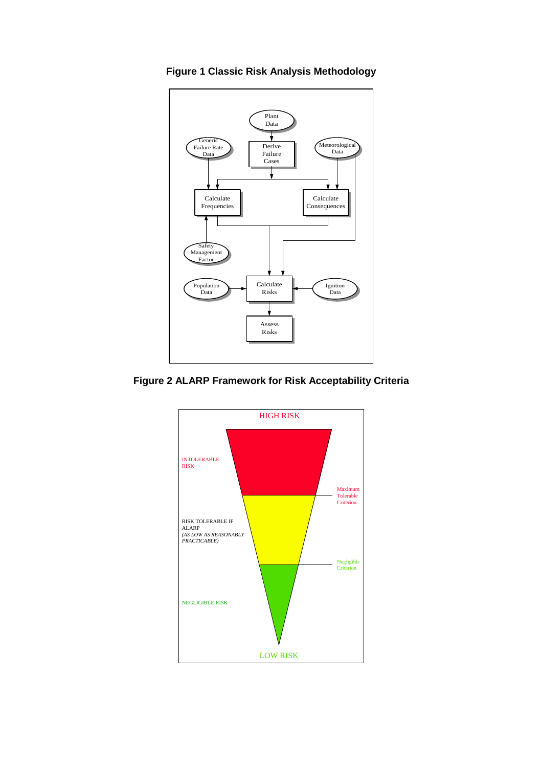

**Figure 1 Classic Risk Analysis Methodology** 

**Figure 2 ALARP Framework for Risk Acceptability Criteria** 

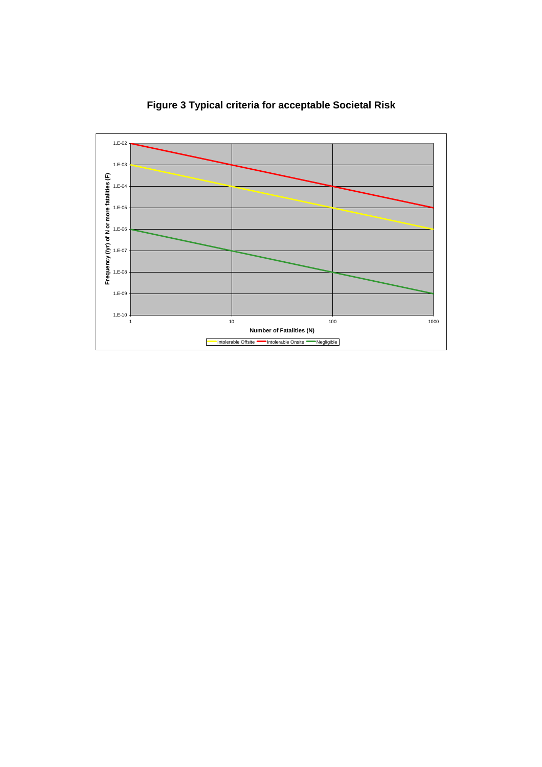

**Figure 3 Typical criteria for acceptable Societal Risk**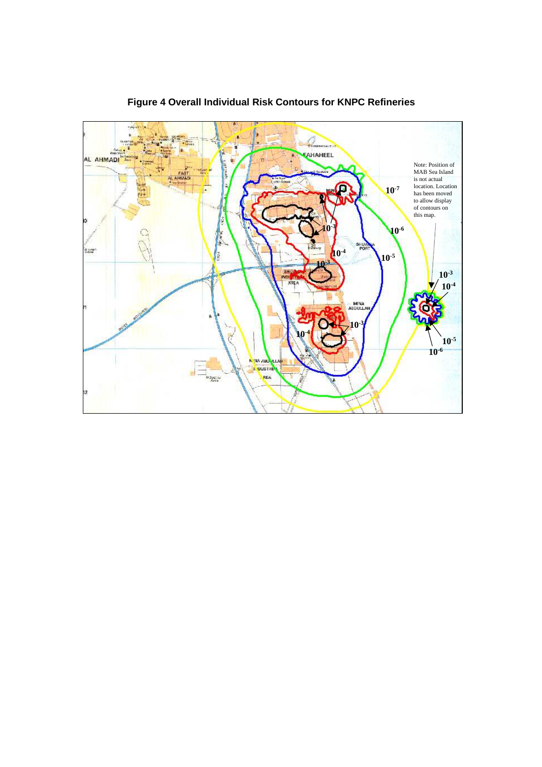

**Figure 4 Overall Individual Risk Contours for KNPC Refineries**